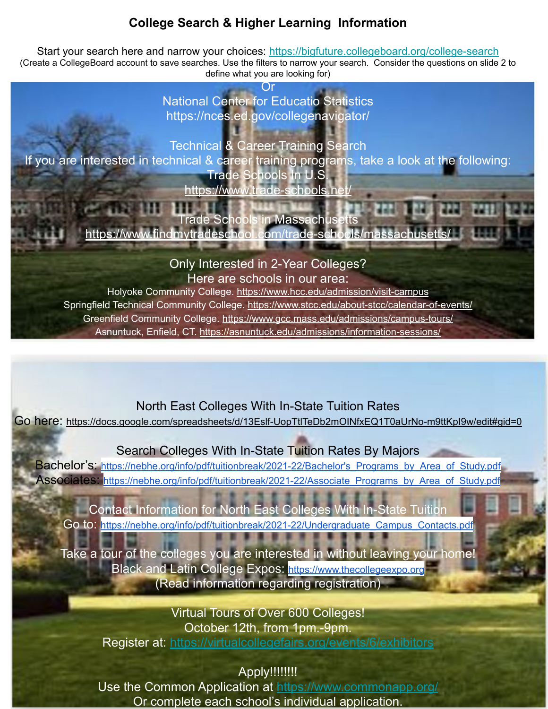## **College Search & Higher Learning Information**

Start your search here and narrow your choices: <https://bigfuture.collegeboard.org/college-search> (Create a CollegeBoard account to save searches. Use the filters to narrow your search. Consider the questions on slide 2 to define what you are looking for)

> Or National Center for Educatio Statistics https://nces.ed.gov/collegenavigator/

Technical & Career Training Search If you are interested in technical & career training programs, take a look at the following: Trade Schools In U.S. <https://www.trade-schools.net/>

> Trade Schools in Massachusetts <https://www.findmytradeschool.com/trade-schools/massachusetts/>

> > Only Interested in 2-Year Colleges?

Here are schools in our area:

Holyoke Community College. <https://www.hcc.edu/admission/visit-campus> Springfield Technical Community College. <https://www.stcc.edu/about-stcc/calendar-of-events/> Greenfield Community College. <https://www.gcc.mass.edu/admissions/campus-tours/> Asnuntuck, Enfield, CT.<https://asnuntuck.edu/admissions/information-sessions/>

North East Colleges With In-State Tuition Rates

Go here: <https://docs.google.com/spreadsheets/d/13Eslf-UopTtlTeDb2mOINfxEQ1T0aUrNo-m9ttKpI9w/edit#gid=0>

Search Colleges With In-State Tuition Rates By Majors

Bachelor's: https://nebhe.org/info/pdf/tuitionbreak/2021-22/Bachelor's Programs by Area of Study.pdf Associates: [https://nebhe.org/info/pdf/tuitionbreak/2021-22/Associate\\_Programs\\_by\\_Area\\_of\\_Study.pdf](https://nebhe.org/info/pdf/tuitionbreak/2021-22/Associate_Programs_by_Area_of_Study.pdf)

Contact Information for North East Colleges With In-State Tuition Go to: [https://nebhe.org/info/pdf/tuitionbreak/2021-22/Undergraduate\\_Campus\\_Contacts.pdf](https://nebhe.org/info/pdf/tuitionbreak/2021-22/Undergraduate_Campus_Contacts.pdf)

Take a tour of the colleges you are interested in without leaving your home! Black and Latin College Expos: [https://www.thecollegeexpo.org](https://www.thecollegeexpo.org/) (Read information regarding registration)

Virtual Tours of Over 600 Colleges! October 12th, from 1pm.-9pm. Register at: <https://virtualcollegefairs.org/events/6/exhibitors>

Apply!!!!!!!!!

Use the Common Application at<https://www.commonapp.org/> Or complete each school's individual application.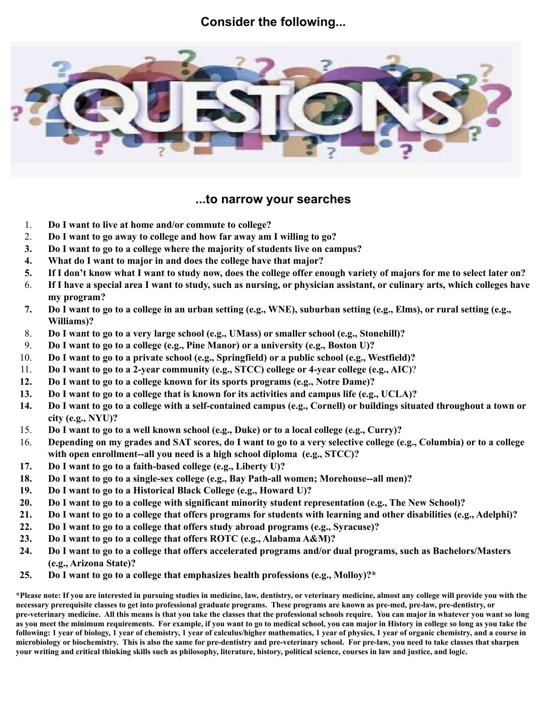## **Consider the following...**



### **...to narrow your searches**

- 1. **Do I want to live at home and/or commute to college?**
- 2. **Do I want to go away to college and how far away am I willing to go?**
- **3. Do I want to go to a college where the majority of students live on campus?**
- **4. What do I want to major in and does the college have that major?**
- **5. If I don't know what I want to study now, does the college offer enough variety of majors for me to select later on?**
- 6. **If I have a special area I want to study, such as nursing, or physician assistant, or culinary arts, which colleges have my program?**
- **7. Do I want to go to a college in an urban setting (e.g., WNE), suburban setting (e.g., Elms), or rural setting (e.g., Williams)?**
- 8. **Do I want to go to a very large school (e.g., UMass) or smaller school (e.g., Stonehill)?**
- 9. **Do I want to go to a college (e.g., Pine Manor) or a university (e.g., Boston U)?**
- 10. **Do I want to go to a private school (e.g., Springfield) or a public school (e.g., Westfield)?**
- 11. **Do I want to go to a 2-year community (e.g., STCC) college or 4-year college (e.g., AIC)**?
- **12. Do I want to go to a college known for its sports programs (e.g., Notre Dame)?**
- **13. Do I want to go to a college that is known for its activities and campus life (e.g., UCLA)?**
- **14. Do I want to go to a college with a self-contained campus (e.g., Cornell) or buildings situated throughout a town or city (e.g., NYU)?**
- 15. **Do I want to go to a well known school (e.g., Duke) or to a local college (e.g., Curry)?**
- 16. **Depending on my grades and SAT scores, do I want to go to a very selective college (e.g., Columbia) or to a college with open enrollment--all you need is a high school diploma (e.g., STCC)?**
- **17. Do I want to go to a faith-based college (e.g., Liberty U)?**
- **18. Do I want to go to a single-sex college (e.g., Bay Path-all women; Morehouse--all men)?**
- **19. Do I want to go to a Historical Black College (e.g., Howard U)?**
- **20. Do I want to go to a college with significant minority student representation (e.g., The New School)?**
- **21. Do I want to go to a college that offers programs for students with learning and other disabilities (e.g., Adelphi)?**
- **22. Do I want to go to a college that offers study abroad programs (e.g., Syracuse)?**
- **23. Do I want to go to a college that offers ROTC (e.g., Alabama A&M)?**
- **24. Do I want to go to a college that offers accelerated programs and/or dual programs, such as Bachelors/Masters (e.g., Arizona State)?**
- **25. Do I want to go to a college that emphasizes health professions (e.g., Molloy)?\***

**\*Please note: If you are interested in pursuing studies in medicine, law, dentistry, or veterinary medicine, almost any college will provide you with the necessary prerequisite classes to get into professional graduate programs. These programs are known as pre-med, pre-law, pre-dentistry, or pre-veterinary medicine. All this means is that you take the classes that the professional schools require. You can major in whatever you want so long as you meet the minimum requirements. For example, if you want to go to medical school, you can major in History in college so long as you take the following: 1 year of biology, 1 year of chemistry, 1 year of calculus/higher mathematics, 1 year of physics, 1 year of organic chemistry, and a course in microbiology or biochemistry. This is also the same for pre-dentistry and pre-veterinary school. For pre-law, you need to take classes that sharpen your writing and critical thinking skills such as philosophy, literature, history, political science, courses in law and justice, and logic.**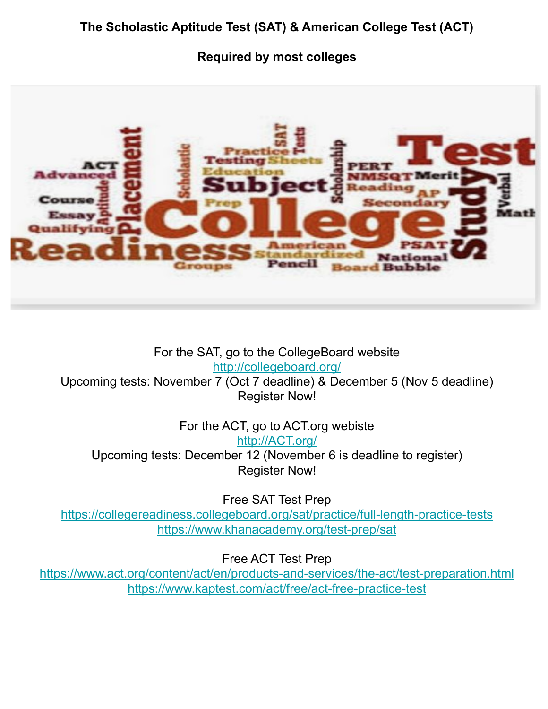# **Required by most colleges**



For the SAT, go to the CollegeBoard website <http://collegeboard.org/>

Upcoming tests: November 7 (Oct 7 deadline) & December 5 (Nov 5 deadline) Register Now!

For the ACT, go to ACT.org webiste

[http://ACT.org/](http://act.org/) Upcoming tests: December 12 (November 6 is deadline to register)

Register Now!

Free SAT Test Prep

<https://collegereadiness.collegeboard.org/sat/practice/full-length-practice-tests> <https://www.khanacademy.org/test-prep/sat>

Free ACT Test Prep

<https://www.act.org/content/act/en/products-and-services/the-act/test-preparation.html> <https://www.kaptest.com/act/free/act-free-practice-test>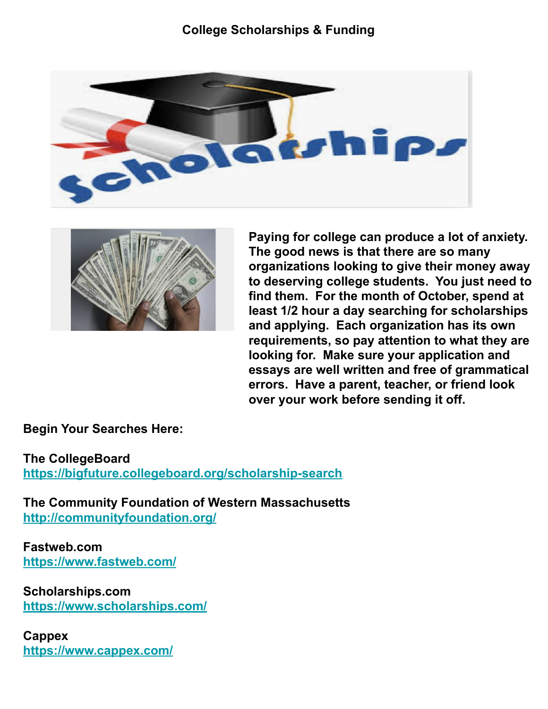## **College Scholarships & Funding**





**Paying for college can produce a lot of anxiety. The good news is that there are so many organizations looking to give their money away to deserving college students. You just need to find them. For the month of October, spend at least 1/2 hour a day searching for scholarships and applying. Each organization has its own requirements, so pay attention to what they are looking for. Make sure your application and essays are well written and free of grammatical errors. Have a parent, teacher, or friend look over your work before sending it off.** 

**Begin Your Searches Here:**

**The CollegeBoard <https://bigfuture.collegeboard.org/scholarship-search>**

**The Community Foundation of Western Massachusetts <http://communityfoundation.org/>**

**Fastweb.com <https://www.fastweb.com/>**

**Scholarships.com <https://www.scholarships.com/>**

**Cappex <https://www.cappex.com/>**